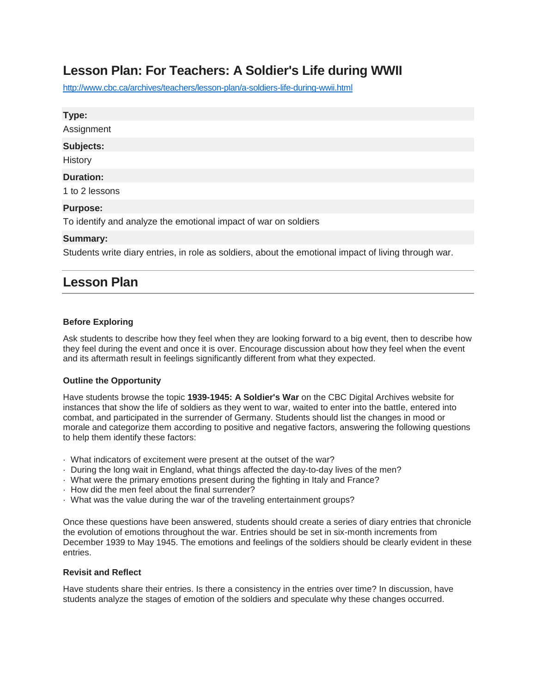# **Lesson Plan: For Teachers: A Soldier's Life during WWII**

<http://www.cbc.ca/archives/teachers/lesson-plan/a-soldiers-life-during-wwii.html>

| Type:                                                           |
|-----------------------------------------------------------------|
| Assignment                                                      |
| Subjects:                                                       |
| History                                                         |
| <b>Duration:</b>                                                |
| 1 to 2 lessons                                                  |
| <b>Purpose:</b>                                                 |
| To identify and analyze the emotional impact of war on soldiers |

## **Summary:**

Students write diary entries, in role as soldiers, about the emotional impact of living through war.

## **Lesson Plan**

#### **Before Exploring**

Ask students to describe how they feel when they are looking forward to a big event, then to describe how they feel during the event and once it is over. Encourage discussion about how they feel when the event and its aftermath result in feelings significantly different from what they expected.

#### **Outline the Opportunity**

Have students browse the topic **1939-1945: A Soldier's War** on the CBC Digital Archives website for instances that show the life of soldiers as they went to war, waited to enter into the battle, entered into combat, and participated in the surrender of Germany. Students should list the changes in mood or morale and categorize them according to positive and negative factors, answering the following questions to help them identify these factors:

- · What indicators of excitement were present at the outset of the war?
- · During the long wait in England, what things affected the day-to-day lives of the men?
- · What were the primary emotions present during the fighting in Italy and France?
- · How did the men feel about the final surrender?
- · What was the value during the war of the traveling entertainment groups?

Once these questions have been answered, students should create a series of diary entries that chronicle the evolution of emotions throughout the war. Entries should be set in six-month increments from December 1939 to May 1945. The emotions and feelings of the soldiers should be clearly evident in these entries.

### **Revisit and Reflect**

Have students share their entries. Is there a consistency in the entries over time? In discussion, have students analyze the stages of emotion of the soldiers and speculate why these changes occurred.